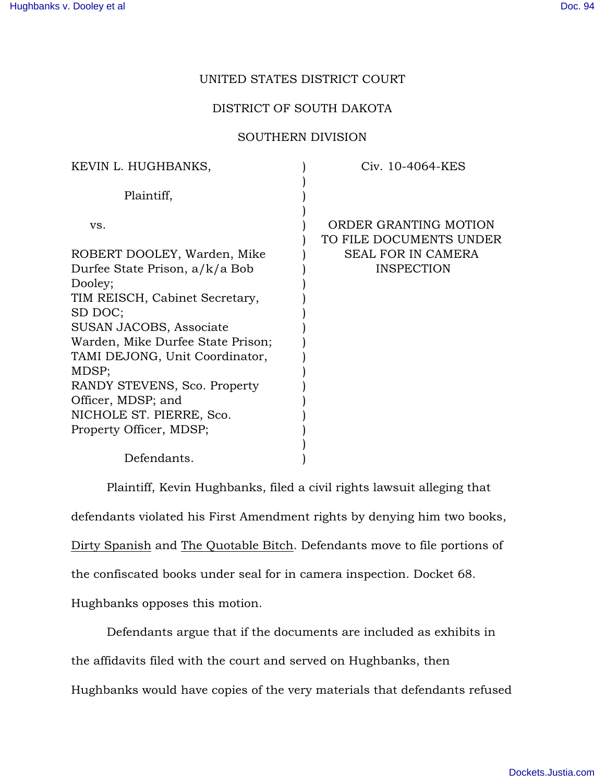## UNITED STATES DISTRICT COURT

## DISTRICT OF SOUTH DAKOTA

## SOUTHERN DIVISION

| KEVIN L. HUGHBANKS,               | Civ. 10-4064-KES                                 |
|-----------------------------------|--------------------------------------------------|
| Plaintiff,                        |                                                  |
| VS.                               | ORDER GRANTING MOTION<br>TO FILE DOCUMENTS UNDER |
| ROBERT DOOLEY, Warden, Mike       | <b>SEAL FOR IN CAMERA</b>                        |
| Durfee State Prison, a/k/a Bob    | <b>INSPECTION</b>                                |
| Dooley;                           |                                                  |
| TIM REISCH, Cabinet Secretary,    |                                                  |
| SD DOC;                           |                                                  |
| SUSAN JACOBS, Associate           |                                                  |
| Warden, Mike Durfee State Prison; |                                                  |
| TAMI DEJONG, Unit Coordinator,    |                                                  |
| MDSP;                             |                                                  |
| RANDY STEVENS, Sco. Property      |                                                  |
| Officer, MDSP; and                |                                                  |
| NICHOLE ST. PIERRE, Sco.          |                                                  |
| Property Officer, MDSP;           |                                                  |
|                                   |                                                  |
| Defendants.                       |                                                  |

Plaintiff, Kevin Hughbanks, filed a civil rights lawsuit alleging that defendants violated his First Amendment rights by denying him two books, Dirty Spanish and The Quotable Bitch. Defendants move to file portions of the confiscated books under seal for in camera inspection. Docket 68. Hughbanks opposes this motion.

Defendants argue that if the documents are included as exhibits in the affidavits filed with the court and served on Hughbanks, then Hughbanks would have copies of the very materials that defendants refused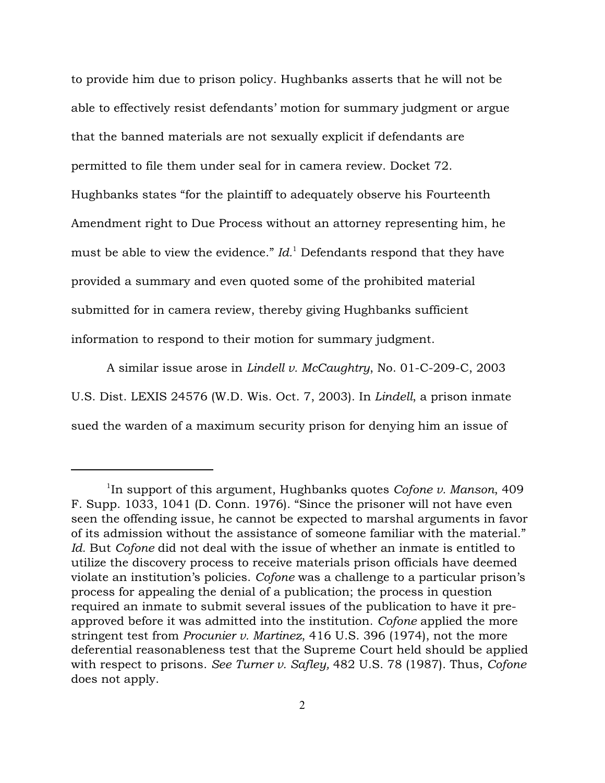to provide him due to prison policy. Hughbanks asserts that he will not be able to effectively resist defendants' motion for summary judgment or argue that the banned materials are not sexually explicit if defendants are permitted to file them under seal for in camera review. Docket 72. Hughbanks states "for the plaintiff to adequately observe his Fourteenth Amendment right to Due Process without an attorney representing him, he must be able to view the evidence."  $Id$ . Defendants respond that they have provided a summary and even quoted some of the prohibited material submitted for in camera review, thereby giving Hughbanks sufficient information to respond to their motion for summary judgment.

A similar issue arose in *Lindell v. McCaughtry*, No. 01-C-209-C, 2003 U.S. Dist. LEXIS 24576 (W.D. Wis. Oct. 7, 2003). In *Lindell*, a prison inmate sued the warden of a maximum security prison for denying him an issue of

 $1$ In support of this argument, Hughbanks quotes *Cofone v. Manson*, 409 F. Supp. 1033, 1041 (D. Conn. 1976). "Since the prisoner will not have even seen the offending issue, he cannot be expected to marshal arguments in favor of its admission without the assistance of someone familiar with the material." *Id.* But *Cofone* did not deal with the issue of whether an inmate is entitled to utilize the discovery process to receive materials prison officials have deemed violate an institution's policies. *Cofone* was a challenge to a particular prison's process for appealing the denial of a publication; the process in question required an inmate to submit several issues of the publication to have it preapproved before it was admitted into the institution. *Cofone* applied the more stringent test from *Procunier v. Martinez*, 416 U.S. 396 (1974), not the more deferential reasonableness test that the Supreme Court held should be applied with respect to prisons. *See Turner v. Safley,* 482 U.S. 78 (1987). Thus, *Cofone* does not apply.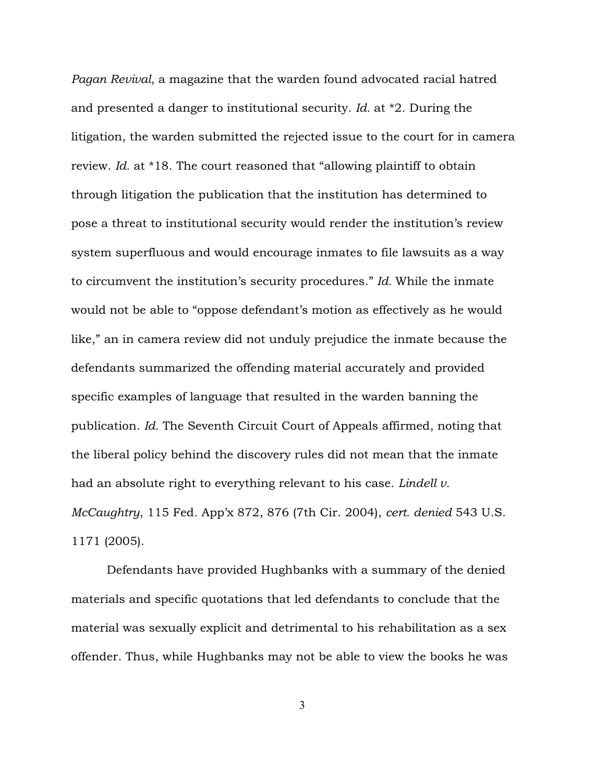*Pagan Revival*, a magazine that the warden found advocated racial hatred and presented a danger to institutional security. *Id.* at \*2. During the litigation, the warden submitted the rejected issue to the court for in camera review. *Id.* at \*18. The court reasoned that "allowing plaintiff to obtain through litigation the publication that the institution has determined to pose a threat to institutional security would render the institution's review system superfluous and would encourage inmates to file lawsuits as a way to circumvent the institution's security procedures." *Id.* While the inmate would not be able to "oppose defendant's motion as effectively as he would like," an in camera review did not unduly prejudice the inmate because the defendants summarized the offending material accurately and provided specific examples of language that resulted in the warden banning the publication. *Id.* The Seventh Circuit Court of Appeals affirmed, noting that the liberal policy behind the discovery rules did not mean that the inmate had an absolute right to everything relevant to his case. *Lindell v. McCaughtry*, 115 Fed. App'x 872, 876 (7th Cir. 2004), *cert. denied* 543 U.S. 1171 (2005).

Defendants have provided Hughbanks with a summary of the denied materials and specific quotations that led defendants to conclude that the material was sexually explicit and detrimental to his rehabilitation as a sex offender. Thus, while Hughbanks may not be able to view the books he was

3